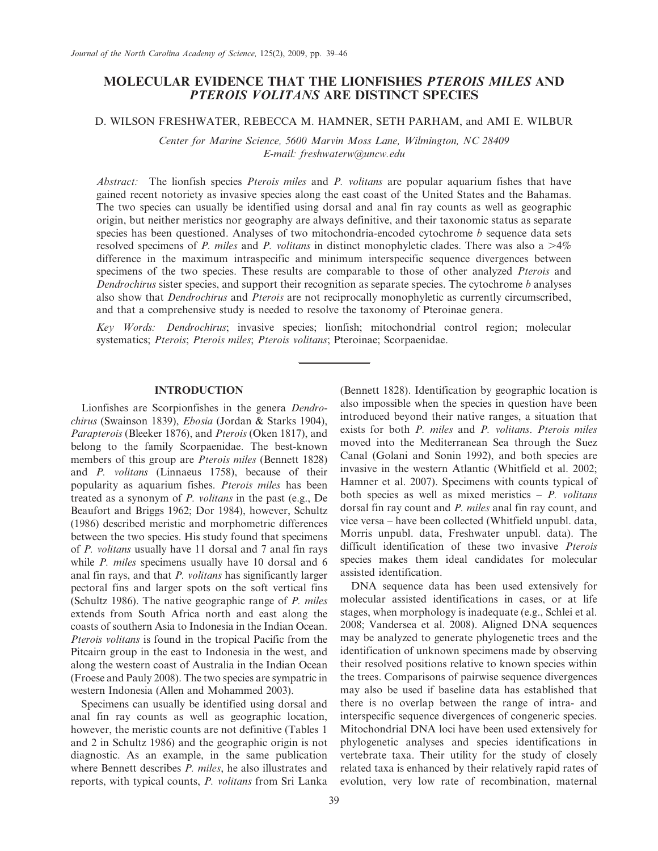# MOLECULAR EVIDENCE THAT THE LIONFISHES PTEROIS MILES AND PTEROIS VOLITANS ARE DISTINCT SPECIES

#### D. WILSON FRESHWATER, REBECCA M. HAMNER, SETH PARHAM, and AMI E. WILBUR

Center for Marine Science, 5600 Marvin Moss Lane, Wilmington, NC 28409 E-mail: freshwaterw@uncw.edu

Abstract: The lionfish species *Pterois miles* and *P. volitans* are popular aquarium fishes that have gained recent notoriety as invasive species along the east coast of the United States and the Bahamas. The two species can usually be identified using dorsal and anal fin ray counts as well as geographic origin, but neither meristics nor geography are always definitive, and their taxonomic status as separate species has been questioned. Analyses of two mitochondria-encoded cytochrome  $b$  sequence data sets resolved specimens of P. miles and P. volitans in distinct monophyletic clades. There was also a  $>4\%$ difference in the maximum intraspecific and minimum interspecific sequence divergences between specimens of the two species. These results are comparable to those of other analyzed Pterois and Dendrochirus sister species, and support their recognition as separate species. The cytochrome b analyses also show that *Dendrochirus* and *Pterois* are not reciprocally monophyletic as currently circumscribed, and that a comprehensive study is needed to resolve the taxonomy of Pteroinae genera.

Key Words: Dendrochirus; invasive species; lionfish; mitochondrial control region; molecular systematics; Pterois; Pterois miles; Pterois volitans; Pteroinae; Scorpaenidae.

## INTRODUCTION

Lionfishes are Scorpionfishes in the genera Dendrochirus (Swainson 1839), Ebosia (Jordan & Starks 1904), Parapterois (Bleeker 1876), and Pterois (Oken 1817), and belong to the family Scorpaenidae. The best-known members of this group are *Pterois miles* (Bennett 1828) and P. volitans (Linnaeus 1758), because of their popularity as aquarium fishes. Pterois miles has been treated as a synonym of P. volitans in the past (e.g., De Beaufort and Briggs 1962; Dor 1984), however, Schultz (1986) described meristic and morphometric differences between the two species. His study found that specimens of P. volitans usually have 11 dorsal and 7 anal fin rays while *P. miles* specimens usually have 10 dorsal and 6 anal fin rays, and that P. volitans has significantly larger pectoral fins and larger spots on the soft vertical fins (Schultz 1986). The native geographic range of P. miles extends from South Africa north and east along the coasts of southern Asia to Indonesia in the Indian Ocean. Pterois volitans is found in the tropical Pacific from the Pitcairn group in the east to Indonesia in the west, and along the western coast of Australia in the Indian Ocean (Froese and Pauly 2008). The two species are sympatric in western Indonesia (Allen and Mohammed 2003).

Specimens can usually be identified using dorsal and anal fin ray counts as well as geographic location, however, the meristic counts are not definitive (Tables 1 and 2 in Schultz 1986) and the geographic origin is not diagnostic. As an example, in the same publication where Bennett describes *P. miles*, he also illustrates and reports, with typical counts, P. volitans from Sri Lanka (Bennett 1828). Identification by geographic location is also impossible when the species in question have been introduced beyond their native ranges, a situation that exists for both P. miles and P. volitans. Pterois miles moved into the Mediterranean Sea through the Suez Canal (Golani and Sonin 1992), and both species are invasive in the western Atlantic (Whitfield et al. 2002; Hamner et al. 2007). Specimens with counts typical of both species as well as mixed meristics  $- P$ . *volitans* dorsal fin ray count and P. miles anal fin ray count, and vice versa – have been collected (Whitfield unpubl. data, Morris unpubl. data, Freshwater unpubl. data). The difficult identification of these two invasive *Pterois* species makes them ideal candidates for molecular assisted identification.

DNA sequence data has been used extensively for molecular assisted identifications in cases, or at life stages, when morphology is inadequate (e.g., Schlei et al. 2008; Vandersea et al. 2008). Aligned DNA sequences may be analyzed to generate phylogenetic trees and the identification of unknown specimens made by observing their resolved positions relative to known species within the trees. Comparisons of pairwise sequence divergences may also be used if baseline data has established that there is no overlap between the range of intra- and interspecific sequence divergences of congeneric species. Mitochondrial DNA loci have been used extensively for phylogenetic analyses and species identifications in vertebrate taxa. Their utility for the study of closely related taxa is enhanced by their relatively rapid rates of evolution, very low rate of recombination, maternal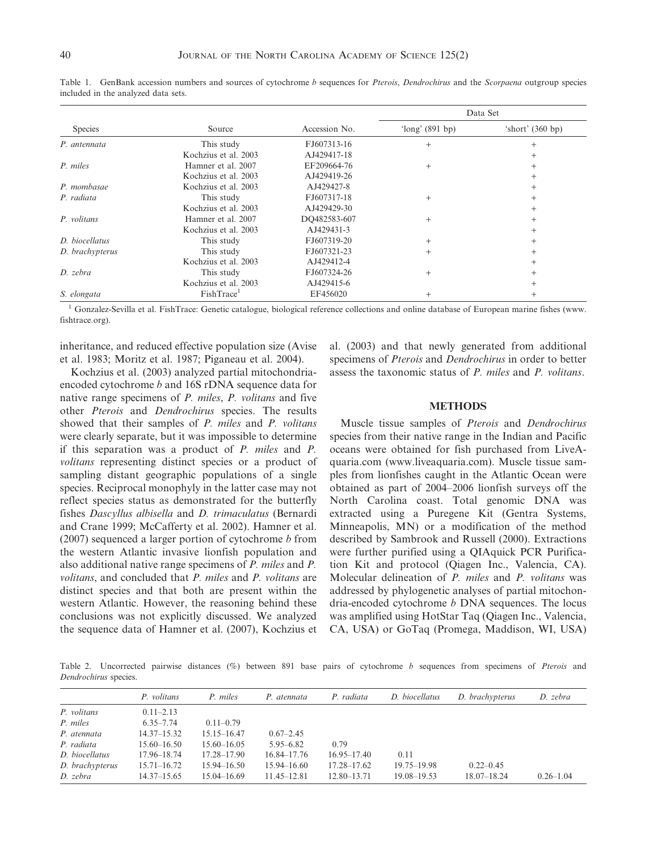|                 |                        |               | Data Set          |                    |  |  |
|-----------------|------------------------|---------------|-------------------|--------------------|--|--|
| <b>Species</b>  | Source                 | Accession No. | 'long' $(891$ bp) | 'short' $(360 bp)$ |  |  |
| P. antennata    | This study             | FJ607313-16   | $+$               | $^{+}$             |  |  |
|                 | Kochzius et al. 2003   | AJ429417-18   |                   |                    |  |  |
| P. miles        | Hamner et al. 2007     | EF209664-76   | $+$               | $^{+}$             |  |  |
|                 | Kochzius et al. 2003   | AJ429419-26   |                   | $^{+}$             |  |  |
| P. mombasae     | Kochzius et al. 2003   | AJ429427-8    |                   | $^{+}$             |  |  |
| P. radiata      | This study             | FJ607317-18   | $^{+}$            | $^{+}$             |  |  |
|                 | Kochzius et al. 2003   | AJ429429-30   |                   | $^{+}$             |  |  |
| P. volitans     | Hamner et al. 2007     | DO482583-607  | $+$               | $^{+}$             |  |  |
|                 | Kochzius et al. 2003   | AJ429431-3    |                   |                    |  |  |
| D. biocellatus  | This study             | FJ607319-20   | $+$               |                    |  |  |
| D. brachypterus | This study             | FJ607321-23   | $+$               |                    |  |  |
|                 | Kochzius et al. 2003   | AJ429412-4    |                   |                    |  |  |
| D. zebra        | This study             | FJ607324-26   | $^{+}$            |                    |  |  |
|                 | Kochzius et al. 2003   | AJ429415-6    |                   |                    |  |  |
| S. elongata     | FishTrace <sup>1</sup> | EF456020      | $^{+}$            | $^{+}$             |  |  |

Table 1. GenBank accession numbers and sources of cytochrome b sequences for Pterois, Dendrochirus and the Scorpaena outgroup species included in the analyzed data sets.

<sup>1</sup> Gonzalez-Sevilla et al. FishTrace: Genetic catalogue, biological reference collections and online database of European marine fishes (www. fishtrace.org).

inheritance, and reduced effective population size (Avise et al. 1983; Moritz et al. 1987; Piganeau et al. 2004).

Kochzius et al. (2003) analyzed partial mitochondriaencoded cytochrome b and 16S rDNA sequence data for native range specimens of P. miles, P. volitans and five other Pterois and Dendrochirus species. The results showed that their samples of *P. miles* and *P. volitans* were clearly separate, but it was impossible to determine if this separation was a product of P. miles and P. volitans representing distinct species or a product of sampling distant geographic populations of a single species. Reciprocal monophyly in the latter case may not reflect species status as demonstrated for the butterfly fishes Dascyllus albisella and D. trimaculatus (Bernardi and Crane 1999; McCafferty et al. 2002). Hamner et al. (2007) sequenced a larger portion of cytochrome  $b$  from the western Atlantic invasive lionfish population and also additional native range specimens of P. miles and P. volitans, and concluded that P. miles and P. volitans are distinct species and that both are present within the western Atlantic. However, the reasoning behind these conclusions was not explicitly discussed. We analyzed the sequence data of Hamner et al. (2007), Kochzius et al. (2003) and that newly generated from additional specimens of Pterois and Dendrochirus in order to better assess the taxonomic status of P. miles and P. volitans.

#### **METHODS**

Muscle tissue samples of Pterois and Dendrochirus species from their native range in the Indian and Pacific oceans were obtained for fish purchased from LiveAquaria.com (www.liveaquaria.com). Muscle tissue samples from lionfishes caught in the Atlantic Ocean were obtained as part of 2004–2006 lionfish surveys off the North Carolina coast. Total genomic DNA was extracted using a Puregene Kit (Gentra Systems, Minneapolis, MN) or a modification of the method described by Sambrook and Russell (2000). Extractions were further purified using a QIAquick PCR Purification Kit and protocol (Qiagen Inc., Valencia, CA). Molecular delineation of P. miles and P. volitans was addressed by phylogenetic analyses of partial mitochondria-encoded cytochrome  $b$  DNA sequences. The locus was amplified using HotStar Taq (Qiagen Inc., Valencia, CA, USA) or GoTaq (Promega, Maddison, WI, USA)

Table 2. Uncorrected pairwise distances (%) between 891 base pairs of cytochrome b sequences from specimens of Pterois and Dendrochirus species.

|                 | P. volitans     | P. miles        | P. atennata     | P. radiata      | D. biocellatus  | D. brachypterus | D. zebra      |
|-----------------|-----------------|-----------------|-----------------|-----------------|-----------------|-----------------|---------------|
| P. volitans     | $0.11 - 2.13$   |                 |                 |                 |                 |                 |               |
| P. miles        | $6.35 - 7.74$   | $0.11 - 0.79$   |                 |                 |                 |                 |               |
| P. atennata     | $14.37 - 15.32$ | $15.15 - 16.47$ | $0.67 - 2.45$   |                 |                 |                 |               |
| P. radiata      | $15.60 - 16.50$ | $15.60 - 16.05$ | $5.95 - 6.82$   | 0.79            |                 |                 |               |
| D. biocellatus  | 17.96-18.74     | 17.28–17.90     | $16.84 - 17.76$ | $16.95 - 17.40$ | 0.11            |                 |               |
| D. brachypterus | $15.71 - 16.72$ | 15.94–16.50     | $15.94 - 16.60$ | $17.28 - 17.62$ | 19.75-19.98     | $0.22 - 0.45$   |               |
| D. zebra        | $14.37 - 15.65$ | 15.04 - 16.69   | $11.45 - 12.81$ | $12.80 - 13.71$ | $19.08 - 19.53$ | $18.07 - 18.24$ | $0.26 - 1.04$ |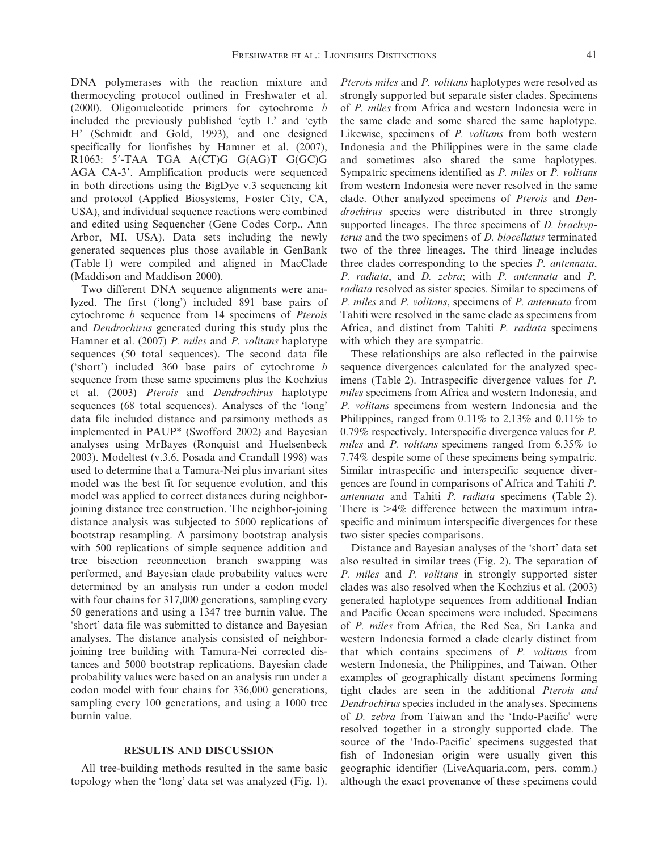DNA polymerases with the reaction mixture and thermocycling protocol outlined in Freshwater et al. (2000). Oligonucleotide primers for cytochrome b included the previously published 'cytb L' and 'cytb H' (Schmidt and Gold, 1993), and one designed specifically for lionfishes by Hamner et al. (2007), R1063: 5'-TAA TGA A(CT)G G(AG)T G(GC)G AGA CA-3'. Amplification products were sequenced in both directions using the BigDye v.3 sequencing kit and protocol (Applied Biosystems, Foster City, CA, USA), and individual sequence reactions were combined and edited using Sequencher (Gene Codes Corp., Ann Arbor, MI, USA). Data sets including the newly generated sequences plus those available in GenBank (Table 1) were compiled and aligned in MacClade (Maddison and Maddison 2000).

Two different DNA sequence alignments were analyzed. The first ('long') included 891 base pairs of cytochrome b sequence from 14 specimens of Pterois and Dendrochirus generated during this study plus the Hamner et al. (2007) P. miles and P. volitans haplotype sequences (50 total sequences). The second data file ('short') included 360 base pairs of cytochrome b sequence from these same specimens plus the Kochzius et al. (2003) Pterois and Dendrochirus haplotype sequences (68 total sequences). Analyses of the 'long' data file included distance and parsimony methods as implemented in PAUP\* (Swofford 2002) and Bayesian analyses using MrBayes (Ronquist and Huelsenbeck 2003). Modeltest (v.3.6, Posada and Crandall 1998) was used to determine that a Tamura-Nei plus invariant sites model was the best fit for sequence evolution, and this model was applied to correct distances during neighborjoining distance tree construction. The neighbor-joining distance analysis was subjected to 5000 replications of bootstrap resampling. A parsimony bootstrap analysis with 500 replications of simple sequence addition and tree bisection reconnection branch swapping was performed, and Bayesian clade probability values were determined by an analysis run under a codon model with four chains for 317,000 generations, sampling every 50 generations and using a 1347 tree burnin value. The 'short' data file was submitted to distance and Bayesian analyses. The distance analysis consisted of neighborjoining tree building with Tamura-Nei corrected distances and 5000 bootstrap replications. Bayesian clade probability values were based on an analysis run under a codon model with four chains for 336,000 generations, sampling every 100 generations, and using a 1000 tree burnin value.

### RESULTS AND DISCUSSION

All tree-building methods resulted in the same basic topology when the 'long' data set was analyzed (Fig. 1).

Pterois miles and P. volitans haplotypes were resolved as strongly supported but separate sister clades. Specimens of P. miles from Africa and western Indonesia were in the same clade and some shared the same haplotype. Likewise, specimens of P. volitans from both western Indonesia and the Philippines were in the same clade and sometimes also shared the same haplotypes. Sympatric specimens identified as P. miles or P. volitans from western Indonesia were never resolved in the same clade. Other analyzed specimens of Pterois and Dendrochirus species were distributed in three strongly supported lineages. The three specimens of *D. brachyp*terus and the two specimens of D. biocellatus terminated two of the three lineages. The third lineage includes three clades corresponding to the species P. antennata, P. radiata, and D. zebra; with P. antennata and P. radiata resolved as sister species. Similar to specimens of P. miles and P. volitans, specimens of P. antennata from Tahiti were resolved in the same clade as specimens from Africa, and distinct from Tahiti P. radiata specimens with which they are sympatric.

These relationships are also reflected in the pairwise sequence divergences calculated for the analyzed specimens (Table 2). Intraspecific divergence values for P. miles specimens from Africa and western Indonesia, and P. volitans specimens from western Indonesia and the Philippines, ranged from 0.11% to 2.13% and 0.11% to 0.79% respectively. Interspecific divergence values for P. miles and P. volitans specimens ranged from 6.35% to 7.74% despite some of these specimens being sympatric. Similar intraspecific and interspecific sequence divergences are found in comparisons of Africa and Tahiti P. antennata and Tahiti P. radiata specimens (Table 2). There is  $>4\%$  difference between the maximum intraspecific and minimum interspecific divergences for these two sister species comparisons.

Distance and Bayesian analyses of the 'short' data set also resulted in similar trees (Fig. 2). The separation of P. miles and P. volitans in strongly supported sister clades was also resolved when the Kochzius et al. (2003) generated haplotype sequences from additional Indian and Pacific Ocean specimens were included. Specimens of P. miles from Africa, the Red Sea, Sri Lanka and western Indonesia formed a clade clearly distinct from that which contains specimens of P. volitans from western Indonesia, the Philippines, and Taiwan. Other examples of geographically distant specimens forming tight clades are seen in the additional Pterois and Dendrochirus species included in the analyses. Specimens of D. zebra from Taiwan and the 'Indo-Pacific' were resolved together in a strongly supported clade. The source of the 'Indo-Pacific' specimens suggested that fish of Indonesian origin were usually given this geographic identifier (LiveAquaria.com, pers. comm.) although the exact provenance of these specimens could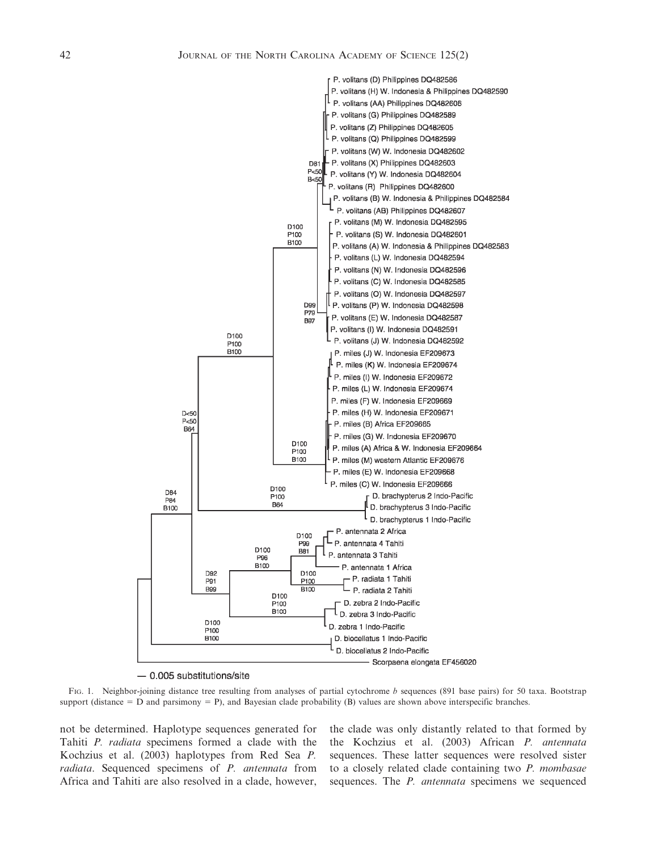

 $-$  0.005 substitutions/site

FIG. 1. Neighbor-joining distance tree resulting from analyses of partial cytochrome b sequences (891 base pairs) for 50 taxa. Bootstrap support (distance  $= D$  and parsimony  $= P$ ), and Bayesian clade probability (B) values are shown above interspecific branches.

not be determined. Haplotype sequences generated for Tahiti P. radiata specimens formed a clade with the Kochzius et al. (2003) haplotypes from Red Sea P. radiata. Sequenced specimens of P. antennata from Africa and Tahiti are also resolved in a clade, however, the clade was only distantly related to that formed by the Kochzius et al. (2003) African P. antennata sequences. These latter sequences were resolved sister to a closely related clade containing two P. mombasae sequences. The *P. antennata* specimens we sequenced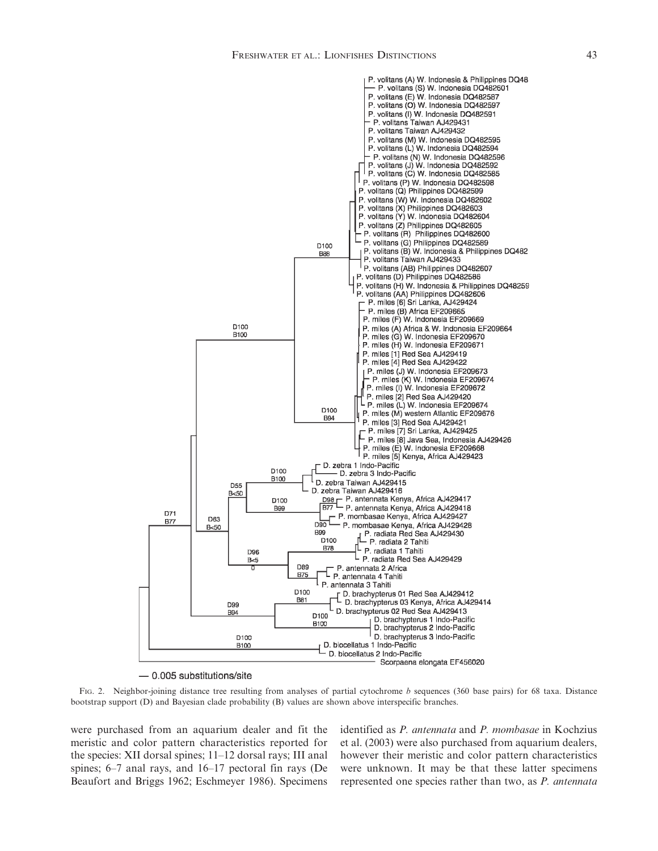

 $-0.005$  substitutions/site

FIG. 2. Neighbor-joining distance tree resulting from analyses of partial cytochrome b sequences (360 base pairs) for 68 taxa. Distance bootstrap support (D) and Bayesian clade probability (B) values are shown above interspecific branches.

were purchased from an aquarium dealer and fit the meristic and color pattern characteristics reported for the species: XII dorsal spines; 11–12 dorsal rays; III anal spines; 6–7 anal rays, and 16–17 pectoral fin rays (De Beaufort and Briggs 1962; Eschmeyer 1986). Specimens identified as P. antennata and P. mombasae in Kochzius et al. (2003) were also purchased from aquarium dealers, however their meristic and color pattern characteristics were unknown. It may be that these latter specimens represented one species rather than two, as P. antennata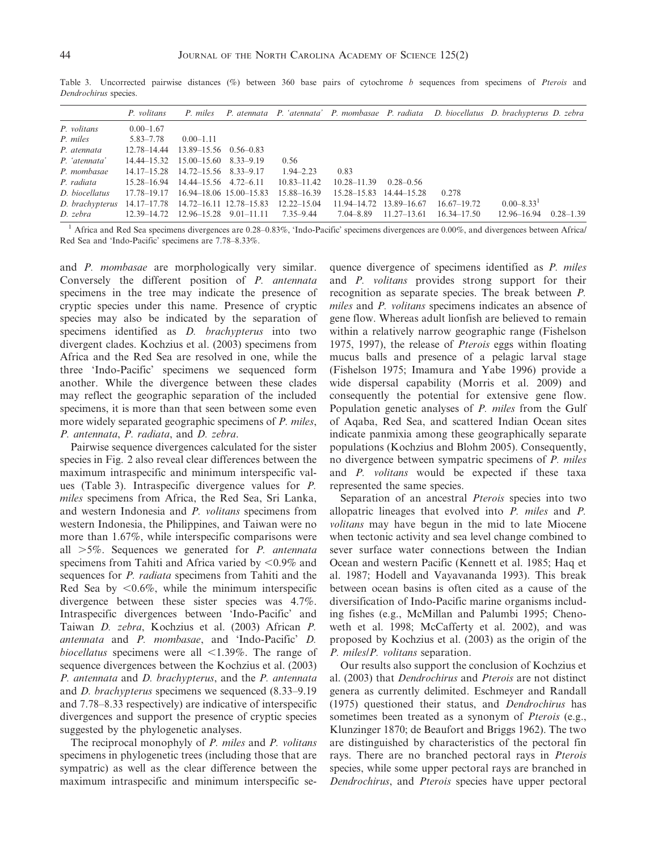|                                                     | P. volitans                                    |                                   |                         |                 |                         |                 |                 | P. miles P. atennata P. 'atennata' P. mombasae P. radiata D. biocellatus D. brachypterus D. zebra |               |
|-----------------------------------------------------|------------------------------------------------|-----------------------------------|-------------------------|-----------------|-------------------------|-----------------|-----------------|---------------------------------------------------------------------------------------------------|---------------|
| P. volitans                                         | $0.00 - 1.67$                                  |                                   |                         |                 |                         |                 |                 |                                                                                                   |               |
| P. miles                                            | 5.83–7.78                                      | $0.00 - 1.11$                     |                         |                 |                         |                 |                 |                                                                                                   |               |
| P. atennata                                         | 12.78–14.44                                    | $13.89 - 15.56 \quad 0.56 - 0.83$ |                         |                 |                         |                 |                 |                                                                                                   |               |
| P. 'atennata'                                       | 14.44–15.32                                    | $15.00 - 15.60$                   | 8.33-9.19               | 0.56            |                         |                 |                 |                                                                                                   |               |
| P. mombasae                                         | 14.17–15.28 14.72–15.56 8.33–9.17              |                                   |                         | $1.94 - 2.23$   | 0.83                    |                 |                 |                                                                                                   |               |
| P. radiata                                          | 15.28–16.94                                    | 14.44–15.56 4.72–6.11             |                         | $10.83 - 11.42$ | $10.28 - 11.39$         | $0.28 - 0.56$   |                 |                                                                                                   |               |
| D. biocellatus                                      | 17.78–19.17                                    |                                   | 16.94–18.06 15.00–15.83 | 15.88–16.39     | 15.28–15.83             | 14.44–15.28     | 0.278           |                                                                                                   |               |
| D. brachypterus 14.17–17.78 14.72–16.11 12.78–15.83 |                                                |                                   |                         | 12.22–15.04     | 11.94–14.72 13.89–16.67 |                 | $16.67 - 19.72$ | $0.00 - 8.33$ <sup>1</sup>                                                                        |               |
| D. zebra                                            | $12.39 - 14.72$ $12.96 - 15.28$ $9.01 - 11.11$ |                                   |                         | 7.35–9.44       | 7.04–8.89               | $11.27 - 13.61$ | $16.34 - 17.50$ | 12.96–16.94                                                                                       | $0.28 - 1.39$ |

Table 3. Uncorrected pairwise distances  $(\%)$  between 360 base pairs of cytochrome b sequences from specimens of Pterois and Dendrochirus species.

<sup>1</sup> Africa and Red Sea specimens divergences are  $0.28-0.83\%$ , 'Indo-Pacific' specimens divergences are  $0.00\%$ , and divergences between Africa/ Red Sea and 'Indo-Pacific' specimens are 7.78–8.33%.

and P. mombasae are morphologically very similar. Conversely the different position of P. antennata specimens in the tree may indicate the presence of cryptic species under this name. Presence of cryptic species may also be indicated by the separation of specimens identified as D. brachypterus into two divergent clades. Kochzius et al. (2003) specimens from Africa and the Red Sea are resolved in one, while the three 'Indo-Pacific' specimens we sequenced form another. While the divergence between these clades may reflect the geographic separation of the included specimens, it is more than that seen between some even more widely separated geographic specimens of *P. miles*, P. antennata, P. radiata, and D. zebra.

Pairwise sequence divergences calculated for the sister species in Fig. 2 also reveal clear differences between the maximum intraspecific and minimum interspecific values (Table 3). Intraspecific divergence values for P. miles specimens from Africa, the Red Sea, Sri Lanka, and western Indonesia and P. volitans specimens from western Indonesia, the Philippines, and Taiwan were no more than 1.67%, while interspecific comparisons were all  $>5\%$ . Sequences we generated for *P. antennata* specimens from Tahiti and Africa varied by  $\leq 0.9\%$  and sequences for *P. radiata* specimens from Tahiti and the Red Sea by  $\leq 0.6\%$ , while the minimum interspecific divergence between these sister species was 4.7%. Intraspecific divergences between 'Indo-Pacific' and Taiwan D. zebra, Kochzius et al. (2003) African P. antennata and P. mombasae, and 'Indo-Pacific' D. biocellatus specimens were all  $\leq$ 1.39%. The range of sequence divergences between the Kochzius et al. (2003) P. antennata and D. brachypterus, and the P. antennata and D. brachypterus specimens we sequenced (8.33–9.19 and 7.78–8.33 respectively) are indicative of interspecific divergences and support the presence of cryptic species suggested by the phylogenetic analyses.

The reciprocal monophyly of P. miles and P. volitans specimens in phylogenetic trees (including those that are sympatric) as well as the clear difference between the maximum intraspecific and minimum interspecific sequence divergence of specimens identified as P. miles and P. volitans provides strong support for their recognition as separate species. The break between P. miles and P. volitans specimens indicates an absence of gene flow. Whereas adult lionfish are believed to remain within a relatively narrow geographic range (Fishelson 1975, 1997), the release of Pterois eggs within floating mucus balls and presence of a pelagic larval stage (Fishelson 1975; Imamura and Yabe 1996) provide a wide dispersal capability (Morris et al. 2009) and consequently the potential for extensive gene flow. Population genetic analyses of P. miles from the Gulf of Aqaba, Red Sea, and scattered Indian Ocean sites indicate panmixia among these geographically separate populations (Kochzius and Blohm 2005). Consequently, no divergence between sympatric specimens of P. miles and P. volitans would be expected if these taxa represented the same species.

Separation of an ancestral *Pterois* species into two allopatric lineages that evolved into P. miles and P. volitans may have begun in the mid to late Miocene when tectonic activity and sea level change combined to sever surface water connections between the Indian Ocean and western Pacific (Kennett et al. 1985; Haq et al. 1987; Hodell and Vayavananda 1993). This break between ocean basins is often cited as a cause of the diversification of Indo-Pacific marine organisms including fishes (e.g., McMillan and Palumbi 1995; Chenoweth et al. 1998; McCafferty et al. 2002), and was proposed by Kochzius et al. (2003) as the origin of the P. miles/P. volitans separation.

Our results also support the conclusion of Kochzius et al. (2003) that Dendrochirus and Pterois are not distinct genera as currently delimited. Eschmeyer and Randall (1975) questioned their status, and Dendrochirus has sometimes been treated as a synonym of *Pterois* (e.g., Klunzinger 1870; de Beaufort and Briggs 1962). The two are distinguished by characteristics of the pectoral fin rays. There are no branched pectoral rays in Pterois species, while some upper pectoral rays are branched in Dendrochirus, and Pterois species have upper pectoral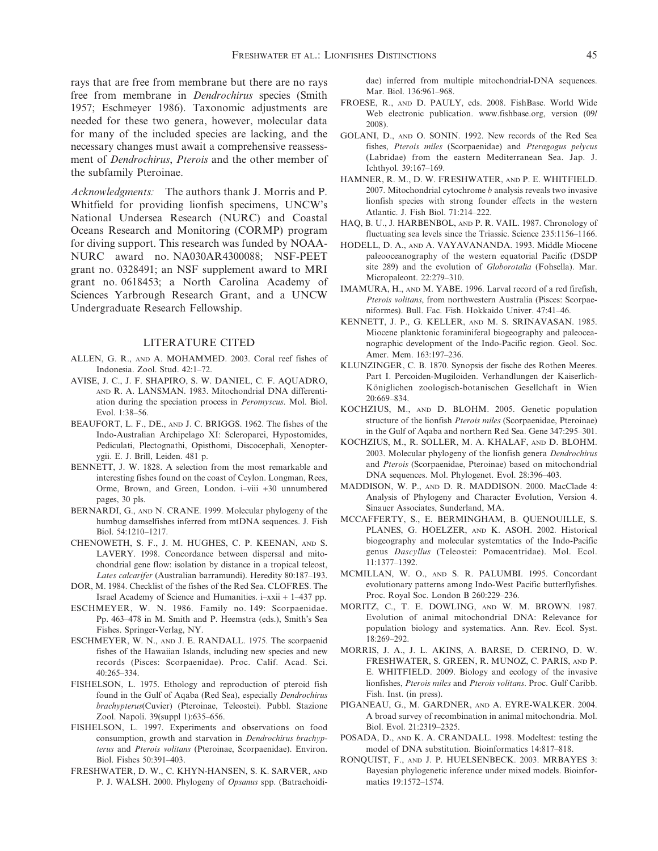rays that are free from membrane but there are no rays free from membrane in Dendrochirus species (Smith 1957; Eschmeyer 1986). Taxonomic adjustments are needed for these two genera, however, molecular data for many of the included species are lacking, and the necessary changes must await a comprehensive reassessment of Dendrochirus, Pterois and the other member of the subfamily Pteroinae.

Acknowledgments: The authors thank J. Morris and P. Whitfield for providing lionfish specimens, UNCW's National Undersea Research (NURC) and Coastal Oceans Research and Monitoring (CORMP) program for diving support. This research was funded by NOAA-NURC award no. NA030AR4300088; NSF-PEET grant no. 0328491; an NSF supplement award to MRI grant no. 0618453; a North Carolina Academy of Sciences Yarbrough Research Grant, and a UNCW Undergraduate Research Fellowship.

#### LITERATURE CITED

- ALLEN, G. R., AND A. MOHAMMED. 2003. Coral reef fishes of Indonesia. Zool. Stud. 42:1–72.
- AVISE, J. C., J. F. SHAPIRO, S. W. DANIEL, C. F. AQUADRO, AND R. A. LANSMAN. 1983. Mitochondrial DNA differentiation during the speciation process in Peromyscus. Mol. Biol. Evol. 1:38–56.
- BEAUFORT, L. F., DE., AND J. C. BRIGGS. 1962. The fishes of the Indo-Australian Archipelago XI: Scleroparei, Hypostomides, Pediculati, Plectognathi, Opisthomi, Discocephali, Xenopterygii. E. J. Brill, Leiden. 481 p.
- BENNETT, J. W. 1828. A selection from the most remarkable and interesting fishes found on the coast of Ceylon. Longman, Rees, Orme, Brown, and Green, London. i–viii +30 unnumbered pages, 30 pls.
- BERNARDI, G., AND N. CRANE. 1999. Molecular phylogeny of the humbug damselfishes inferred from mtDNA sequences. J. Fish Biol. 54:1210–1217.
- CHENOWETH, S. F., J. M. HUGHES, C. P. KEENAN, AND S. LAVERY. 1998. Concordance between dispersal and mitochondrial gene flow: isolation by distance in a tropical teleost, Lates calcarifer (Australian barramundi). Heredity 80:187–193.
- DOR, M. 1984. Checklist of the fishes of the Red Sea. CLOFRES. The Israel Academy of Science and Humanities. i–xxii + 1–437 pp.
- ESCHMEYER, W. N. 1986. Family no. 149: Scorpaenidae. Pp. 463–478 in M. Smith and P. Heemstra (eds.), Smith's Sea Fishes. Springer-Verlag, NY.
- ESCHMEYER, W. N., AND J. E. RANDALL. 1975. The scorpaenid fishes of the Hawaiian Islands, including new species and new records (Pisces: Scorpaenidae). Proc. Calif. Acad. Sci. 40:265–334.
- FISHELSON, L. 1975. Ethology and reproduction of pteroid fish found in the Gulf of Aqaba (Red Sea), especially Dendrochirus brachypterus(Cuvier) (Pteroinae, Teleostei). Pubbl. Stazione Zool. Napoli. 39(suppl 1):635–656.
- FISHELSON, L. 1997. Experiments and observations on food consumption, growth and starvation in Dendrochirus brachypterus and Pterois volitans (Pteroinae, Scorpaenidae). Environ. Biol. Fishes 50:391–403.
- FRESHWATER, D. W., C. KHYN-HANSEN, S. K. SARVER, AND P. J. WALSH. 2000. Phylogeny of Opsanus spp. (Batrachoidi-

dae) inferred from multiple mitochondrial-DNA sequences. Mar. Biol. 136:961–968.

- FROESE, R., AND D. PAULY, eds. 2008. FishBase. World Wide Web electronic publication. www.fishbase.org, version (09/ 2008).
- GOLANI, D., AND O. SONIN. 1992. New records of the Red Sea fishes, Pterois miles (Scorpaenidae) and Pteragogus pelycus (Labridae) from the eastern Mediterranean Sea. Jap. J. Ichthyol. 39:167–169.
- HAMNER, R. M., D. W. FRESHWATER, AND P. E. WHITFIELD. 2007. Mitochondrial cytochrome b analysis reveals two invasive lionfish species with strong founder effects in the western Atlantic. J. Fish Biol. 71:214–222.
- HAQ, B. U., J. HARBENBOL, AND P. R. VAIL. 1987. Chronology of fluctuating sea levels since the Triassic. Science 235:1156–1166.
- HODELL, D. A., AND A. VAYAVANANDA. 1993. Middle Miocene paleooceanography of the western equatorial Pacific (DSDP site 289) and the evolution of Globorotalia (Fohsella). Mar. Micropaleont. 22:279–310.
- IMAMURA, H., AND M. YABE. 1996. Larval record of a red firefish, Pterois volitans, from northwestern Australia (Pisces: Scorpaeniformes). Bull. Fac. Fish. Hokkaido Univer. 47:41–46.
- KENNETT, J. P., G. KELLER, AND M. S. SRINAVASAN. 1985. Miocene planktonic foraminiferal biogeography and paleoceanographic development of the Indo-Pacific region. Geol. Soc. Amer. Mem. 163:197–236.
- KLUNZINGER, C. B. 1870. Synopsis der fische des Rothen Meeres. Part I. Percoiden-Mugiloiden. Verhandlungen der Kaiserlich-Königlichen zoologisch-botanischen Gesellchaft in Wien 20:669–834.
- KOCHZIUS, M., AND D. BLOHM. 2005. Genetic population structure of the lionfish Pterois miles (Scorpaenidae, Pteroinae) in the Gulf of Aqaba and northern Red Sea. Gene 347:295–301.
- KOCHZIUS, M., R. SOLLER, M. A. KHALAF, AND D. BLOHM. 2003. Molecular phylogeny of the lionfish genera Dendrochirus and Pterois (Scorpaenidae, Pteroinae) based on mitochondrial DNA sequences. Mol. Phylogenet. Evol. 28:396–403.
- MADDISON, W. P., AND D. R. MADDISON. 2000. MacClade 4: Analysis of Phylogeny and Character Evolution, Version 4. Sinauer Associates, Sunderland, MA.
- MCCAFFERTY, S., E. BERMINGHAM, B. QUENOUILLE, S. PLANES, G. HOELZER, AND K. ASOH. 2002. Historical biogeography and molecular systemtatics of the Indo-Pacific genus Dascyllus (Teleostei: Pomacentridae). Mol. Ecol. 11:1377–1392.
- MCMILLAN, W. O., AND S. R. PALUMBI. 1995. Concordant evolutionary patterns among Indo-West Pacific butterflyfishes. Proc. Royal Soc. London B 260:229–236.
- MORITZ, C., T. E. DOWLING, AND W. M. BROWN. 1987. Evolution of animal mitochondrial DNA: Relevance for population biology and systematics. Ann. Rev. Ecol. Syst. 18:269–292.
- MORRIS, J. A., J. L. AKINS, A. BARSE, D. CERINO, D. W. FRESHWATER, S. GREEN, R. MUNOZ, C. PARIS, AND P. E. WHITFIELD. 2009. Biology and ecology of the invasive lionfishes, Pterois miles and Pterois volitans. Proc. Gulf Caribb. Fish. Inst. (in press).
- PIGANEAU, G., M. GARDNER, AND A. EYRE-WALKER. 2004. A broad survey of recombination in animal mitochondria. Mol. Biol. Evol. 21:2319–2325.
- POSADA, D., AND K. A. CRANDALL. 1998. Modeltest: testing the model of DNA substitution. Bioinformatics 14:817–818.
- RONQUIST, F., AND J. P. HUELSENBECK. 2003. MRBAYES 3: Bayesian phylogenetic inference under mixed models. Bioinformatics 19:1572–1574.